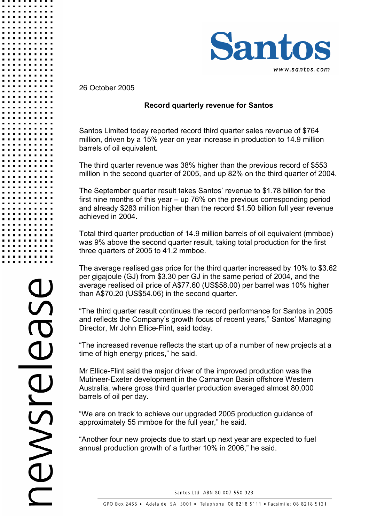

26 October 2005

## **Record quarterly revenue for Santos**

Santos Limited today reported record third quarter sales revenue of \$764 million, driven by a 15% year on year increase in production to 14.9 million barrels of oil equivalent.

The third quarter revenue was 38% higher than the previous record of \$553 million in the second quarter of 2005, and up 82% on the third quarter of 2004.

The September quarter result takes Santos' revenue to \$1.78 billion for the first nine months of this year – up 76% on the previous corresponding period and already \$283 million higher than the record \$1.50 billion full year revenue achieved in 2004.

Total third quarter production of 14.9 million barrels of oil equivalent (mmboe) was 9% above the second quarter result, taking total production for the first three quarters of 2005 to 41.2 mmboe.

The average realised gas price for the third quarter increased by 10% to \$3.62 per gigajoule (GJ) from \$3.30 per GJ in the same period of 2004, and the average realised oil price of A\$77.60 (US\$58.00) per barrel was 10% higher than A\$70.20 (US\$54.06) in the second quarter.

"The third quarter result continues the record performance for Santos in 2005 and reflects the Company's growth focus of recent years," Santos' Managing Director, Mr John Ellice-Flint, said today.

"The increased revenue reflects the start up of a number of new projects at a time of high energy prices," he said.

Mr Ellice-Flint said the major driver of the improved production was the Mutineer-Exeter development in the Carnarvon Basin offshore Western Australia, where gross third quarter production averaged almost 80,000 barrels of oil per day.

"We are on track to achieve our upgraded 2005 production guidance of approximately 55 mmboe for the full year," he said.

"Another four new projects due to start up next year are expected to fuel annual production growth of a further 10% in 2006," he said.

Santos Ltd ABN 80 007 550 923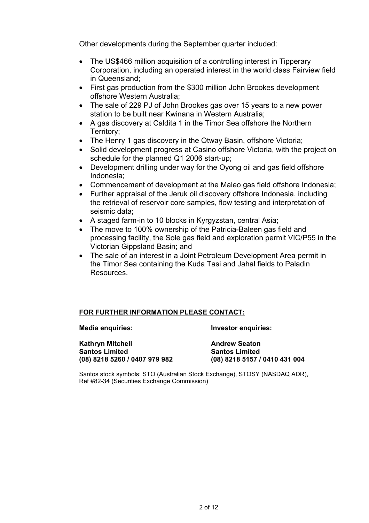Other developments during the September quarter included:

- The US\$466 million acquisition of a controlling interest in Tipperary Corporation, including an operated interest in the world class Fairview field in Queensland;
- First gas production from the \$300 million John Brookes development offshore Western Australia;
- The sale of 229 PJ of John Brookes gas over 15 years to a new power station to be built near Kwinana in Western Australia;
- A gas discovery at Caldita 1 in the Timor Sea offshore the Northern Territory;
- The Henry 1 gas discovery in the Otway Basin, offshore Victoria;
- Solid development progress at Casino offshore Victoria, with the project on schedule for the planned Q1 2006 start-up;
- Development drilling under way for the Oyong oil and gas field offshore Indonesia;
- Commencement of development at the Maleo gas field offshore Indonesia;
- Further appraisal of the Jeruk oil discovery offshore Indonesia, including the retrieval of reservoir core samples, flow testing and interpretation of seismic data;
- A staged farm-in to 10 blocks in Kyrgyzstan, central Asia;
- The move to 100% ownership of the Patricia-Baleen gas field and processing facility, the Sole gas field and exploration permit VIC/P55 in the Victorian Gippsland Basin; and
- The sale of an interest in a Joint Petroleum Development Area permit in the Timor Sea containing the Kuda Tasi and Jahal fields to Paladin **Resources**

## **FOR FURTHER INFORMATION PLEASE CONTACT:**

**Media enquiries: Investor enquiries:** 

**Kathryn Mitchell Andrew Seaton Santos Limited Santos Limited (08) 8218 5260 / 0407 979 982 (08) 8218 5157 / 0410 431 004** 

**Santos Limited** 

Santos stock symbols: STO (Australian Stock Exchange), STOSY (NASDAQ ADR), Ref #82-34 (Securities Exchange Commission)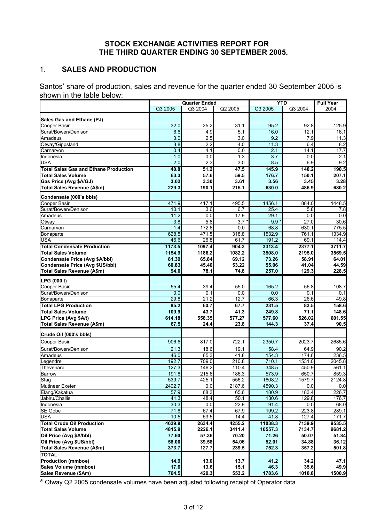### **STOCK EXCHANGE ACTIVITIES REPORT FOR THE THIRD QUARTER ENDING 30 SEPTEMBER 2005.**

## 1. **SALES AND PRODUCTION**

Santos' share of production, sales and revenue for the quarter ended 30 September 2005 is shown in the table below:

|                                                          | <b>Quarter Ended</b> |                  | <b>YTD</b>       |                  | <b>Full Year</b> |                |
|----------------------------------------------------------|----------------------|------------------|------------------|------------------|------------------|----------------|
|                                                          | Q3 2005              | Q3 2004          | Q2 2005          | Q3 2005          | Q3 2004          | 2004           |
|                                                          |                      |                  |                  |                  |                  |                |
| Sales Gas and Ethane (PJ)<br>Cooper Basin                | 32.0                 | 35.2             | 31.1             | 95.2             | 92.8             | 125.9          |
| Surat/Bowen/Denison                                      | 6.6                  | 4.9              | 5.1              | 16.0             | 12.1             | 16.1           |
| Amadeus                                                  | 3.0                  | 2.5              | 3.0              | 9.2              | 7.9              | 11.3           |
| Otway/Gippsland                                          | 3.8                  | 2.2              | 4.0              | 11.3             | 6.4              | 8.2            |
| Carnarvon                                                | 0.4                  | 4.1              | 0.0              | 2.1              | 14.1             | 17.7           |
| Indonesia                                                | 1.0                  | 0.0              | 1.3              | 3.7              | 0.0              | 2.1            |
| USA                                                      | $\overline{2.0}$     | 2.3              | $\overline{3.0}$ | 8.5              | 6.9              | 9.2            |
| <b>Total Sales Gas and Ethane Production</b>             | 48.8                 | 51.2             | 47.5             | 145.9            | 140.2            | 190.5          |
| <b>Total Sales Volume</b>                                | 63.3                 | 57.6             | 59.5             | 176.7            | 150.1            | 207.1          |
| Gas Price (Avg \$A/GJ)                                   | 3.62                 | 3.30             | 3.61             | 3.56             | 3.45             | 3.28           |
| Total Sales Revenue (A\$m)                               | 229.3                | 190.1            | 215.1            | 630.0            | 486.9            | 680.2          |
|                                                          |                      |                  |                  |                  |                  |                |
| Condensate (000's bbls)                                  |                      |                  |                  |                  |                  |                |
| Cooper Basin<br>Surat/Bowen/Denison                      | 471.9                | 417.1<br>3.6     | 495.5            | 1456.1           | 884.0<br>5.8     | 1448.5         |
| Amadeus                                                  | 10.1<br>11.2         | 0.0              | 6.7<br>17.9      | 25.4<br>29.1     | 0.0              | 7.8<br>0.0     |
| Otway                                                    | 3.8                  | $\overline{5.8}$ | 3.7              | $\overline{9.9}$ | 27.0             | 30.6           |
| Carnarvon                                                | 1.4                  | 172.6            | 0.0              | 68.8             | 630.1            | 775.5          |
| <b>Bonaparte</b>                                         | 628.5                | 471.5            | 318.8            | 1532.9           | 761.1            | 1334.9         |
| USA                                                      | 46.6                 | 26.8             | 61.7             | 191.2            | 69.1             | 114.4          |
| <b>Total Condensate Production</b>                       | 1173.5               | 1097.4           | 904.3            | 3313.4           | 2377.1           | 3711.7         |
| <b>Total Sales Volume</b>                                | 1154.9               | 1186.2           | 1082.2           | 3508.0           | 2195.0           | 3569.5         |
| Condensate Price (Avg \$A/bbl)                           | 81.39                | 65.84            | 69.12            | 73.26            | 58.91            | 64.01          |
| Condensate Price (Avg \$US/bbl)                          | 60.83                | 45.40            | 53.22            | 55.06            | 41.04            | 44.59          |
| Total Sales Revenue (A\$m)                               | 94.0                 | 78.1             | 74.8             | 257.0            | 129.3            | 228.5          |
|                                                          |                      |                  |                  |                  |                  |                |
| LPG (000 t)                                              |                      |                  |                  |                  |                  |                |
| Cooper Basin                                             | 55.4                 | 39.4             | 55.0             | 165.2            | 56.8             | 108.7          |
| Surat/Bowen/Denison                                      | 0.0<br>29.8          | 0.1<br>21.2      | 0.0<br>12.7      | 0.0<br>66.3      | 0.1<br>26.6      | 0.1<br>49.8    |
| <b>Bonaparte</b>                                         |                      |                  |                  |                  |                  |                |
| <b>Total LPG Production</b><br><b>Total Sales Volume</b> | 85.2<br>109.9        | 60.7<br>43.7     | 67.7<br>41.3     | 231.5<br>249.8   | 83.5<br>71.1     | 158.6<br>148.6 |
| LPG Price (Avg \$A/t)                                    | 614.18               | 558.35           | 577.27           | 577.60           | 526.02           | 601.55         |
| Total Sales Revenue (A\$m)                               | 67.5                 | 24.4             | 23.8             | 144.3            | 37.4             | 90.5           |
|                                                          |                      |                  |                  |                  |                  |                |
| Crude Oil (000's bbls)                                   |                      |                  |                  |                  |                  |                |
| Cooper Basin                                             | 906.6                | 817.0            | 722.1            | 2350.7           | 2023.7           | 2685.6         |
| Surat/Bowen/Denison                                      | 21.3                 | 18.6             | 19.1             | 58.4             | 64.9             | 90.2           |
| Amadeus                                                  | 46.0                 | 65.3             | 41.8             | 154.3            | 174.6            | 236.5          |
| Legendre                                                 | 192.7                | 709.0            | 210.8            | 710.1            | 1531.0           | 2045.8         |
| Thevenard                                                | 127.3                | 146.2            | 110.4            | 348.5            | 450.9            | 561.1          |
| <b>Barrow</b>                                            | 191.8                | 215.6            | 186.3            | 573.9            | 650.7            | 859.3          |
| Stag                                                     | 539.7                | 425.1            | 556.2            | 1608.2           | 1579.7           | 2124.8         |
| <b>Mutineer Exeter</b>                                   | 2402.7               | 0.0              | 2187.6           | 4590.3           | 0.0              | 0.0            |
| Elang/Kakatua                                            | 57.9                 | 68.3             | 65.6             | 180.9            | 183.4            | 226.7          |
| Jabiru/Challis                                           | 41.3                 | 48.4             | 50.1             | 130.6            | 129.8            | 176.7          |
| Indonesia                                                | 30.3                 | 0.0              | 22.9             | 91.4             | 0.0              | 68.0           |
| SE Gobe                                                  | 71.8                 | 67.4             | 67.9             | 199.2            | 223.8            | 289.1          |
| <b>USA</b>                                               | 10.5                 | 53.5             | 14.4             | 41.8             | 127.4            | 171.7          |
| <b>Total Crude Oil Production</b>                        | 4639.9               | 2634.4           | 4255.2           | 11038.3          | 7139.9           | 9535.5         |
| <b>Total Sales Volume</b>                                | 4815.9               | 2226.1           | 3411.4           | 10557.3          | 7134.7           | 9681.2         |
| Oil Price (Avg \$A/bbl)                                  | 77.60                | 57.36            | 70.20            | 71.26            | 50.07            | 51.84          |
| Oil Price (Avg \$US/bbl)                                 | 58.00                | 39.58            | 54.06            | 52.01            | 34.88            | 36.12          |
| Total Sales Revenue (A\$m)                               | 373.7                | 127.7            | 239.5            | 752.3            | 357.2            | 501.8          |
| <b>TOTAL</b>                                             |                      |                  |                  |                  |                  |                |
| <b>Production (mmboe)</b>                                | 14.9                 | 13.0             | 13.7             | 41.2             | 34.2             | 47.1           |
| Sales Volume (mmboe)                                     | 17.6                 | 13.6             | 15.1             | 46.3             | 35.6             | 49.9           |
| Sales Revenue (\$Am)                                     | 764.5                | 420.3            | 553.2            | 1783.6           | 1010.8           | 1500.9         |

\* Otway Q2 2005 condensate volumes have been adjusted following receipt of Operator data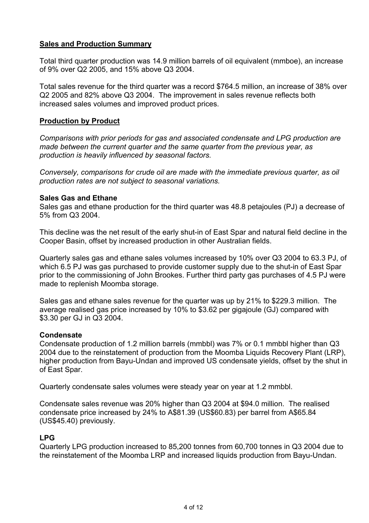## **Sales and Production Summary**

Total third quarter production was 14.9 million barrels of oil equivalent (mmboe), an increase of 9% over Q2 2005, and 15% above Q3 2004.

Total sales revenue for the third quarter was a record \$764.5 million, an increase of 38% over Q2 2005 and 82% above Q3 2004. The improvement in sales revenue reflects both increased sales volumes and improved product prices.

### **Production by Product**

*Comparisons with prior periods for gas and associated condensate and LPG production are made between the current quarter and the same quarter from the previous year, as production is heavily influenced by seasonal factors.* 

*Conversely, comparisons for crude oil are made with the immediate previous quarter, as oil production rates are not subject to seasonal variations.* 

#### **Sales Gas and Ethane**

Sales gas and ethane production for the third quarter was 48.8 petajoules (PJ) a decrease of 5% from Q3 2004.

This decline was the net result of the early shut-in of East Spar and natural field decline in the Cooper Basin, offset by increased production in other Australian fields.

Quarterly sales gas and ethane sales volumes increased by 10% over Q3 2004 to 63.3 PJ, of which 6.5 PJ was gas purchased to provide customer supply due to the shut-in of East Spar prior to the commissioning of John Brookes. Further third party gas purchases of 4.5 PJ were made to replenish Moomba storage.

Sales gas and ethane sales revenue for the quarter was up by 21% to \$229.3 million. The average realised gas price increased by 10% to \$3.62 per gigajoule (GJ) compared with \$3.30 per GJ in Q3 2004.

## **Condensate**

Condensate production of 1.2 million barrels (mmbbl) was 7% or 0.1 mmbbl higher than Q3 2004 due to the reinstatement of production from the Moomba Liquids Recovery Plant (LRP), higher production from Bayu-Undan and improved US condensate yields, offset by the shut in of East Spar.

Quarterly condensate sales volumes were steady year on year at 1.2 mmbbl.

Condensate sales revenue was 20% higher than Q3 2004 at \$94.0 million. The realised condensate price increased by 24% to A\$81.39 (US\$60.83) per barrel from A\$65.84 (US\$45.40) previously.

## **LPG**

Quarterly LPG production increased to 85,200 tonnes from 60,700 tonnes in Q3 2004 due to the reinstatement of the Moomba LRP and increased liquids production from Bayu-Undan.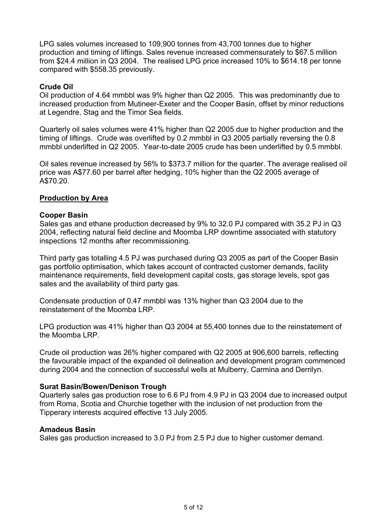LPG sales volumes increased to 109,900 tonnes from 43,700 tonnes due to higher production and timing of liftings. Sales revenue increased commensurately to \$67.5 million from \$24.4 million in Q3 2004. The realised LPG price increased 10% to \$614.18 per tonne compared with \$558.35 previously.

## **Crude Oil**

Oil production of 4.64 mmbbl was 9% higher than Q2 2005. This was predominantly due to increased production from Mutineer-Exeter and the Cooper Basin, offset by minor reductions at Legendre, Stag and the Timor Sea fields.

Quarterly oil sales volumes were 41% higher than Q2 2005 due to higher production and the timing of liftings. Crude was overlifted by 0.2 mmbbl in Q3 2005 partially reversing the 0.8 mmbbl underlifted in Q2 2005. Year-to-date 2005 crude has been underlifted by 0.5 mmbbl.

Oil sales revenue increased by 56% to \$373.7 million for the quarter. The average realised oil price was A\$77.60 per barrel after hedging, 10% higher than the Q2 2005 average of A\$70.20.

## **Production by Area**

#### **Cooper Basin**

Sales gas and ethane production decreased by 9% to 32.0 PJ compared with 35.2 PJ in Q3 2004, reflecting natural field decline and Moomba LRP downtime associated with statutory inspections 12 months after recommissioning.

Third party gas totalling 4.5 PJ was purchased during Q3 2005 as part of the Cooper Basin gas portfolio optimisation, which takes account of contracted customer demands, facility maintenance requirements, field development capital costs, gas storage levels, spot gas sales and the availability of third party gas.

Condensate production of 0.47 mmbbl was 13% higher than Q3 2004 due to the reinstatement of the Moomba LRP.

LPG production was 41% higher than Q3 2004 at 55,400 tonnes due to the reinstatement of the Moomba LRP.

Crude oil production was 26% higher compared with Q2 2005 at 906,600 barrels, reflecting the favourable impact of the expanded oil delineation and development program commenced during 2004 and the connection of successful wells at Mulberry, Carmina and Derrilyn.

## **Surat Basin/Bowen/Denison Trough**

Quarterly sales gas production rose to 6.6 PJ from 4.9 PJ in Q3 2004 due to increased output from Roma, Scotia and Churchie together with the inclusion of net production from the Tipperary interests acquired effective 13 July 2005.

#### **Amadeus Basin**

Sales gas production increased to 3.0 PJ from 2.5 PJ due to higher customer demand.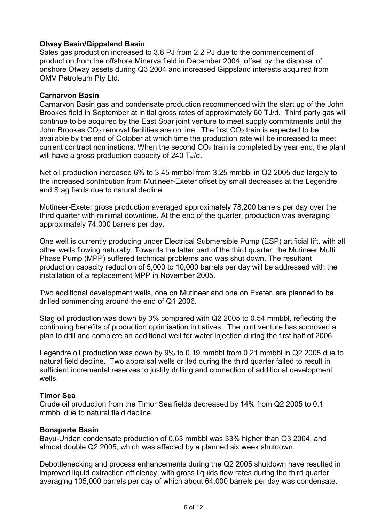## **Otway Basin/Gippsland Basin**

Sales gas production increased to 3.8 PJ from 2.2 PJ due to the commencement of production from the offshore Minerva field in December 2004, offset by the disposal of onshore Otway assets during Q3 2004 and increased Gippsland interests acquired from OMV Petroleum Pty Ltd.

## **Carnarvon Basin**

Carnarvon Basin gas and condensate production recommenced with the start up of the John Brookes field in September at initial gross rates of approximately 60 TJ/d. Third party gas will continue to be acquired by the East Spar joint venture to meet supply commitments until the John Brookes  $CO<sub>2</sub>$  removal facilities are on line. The first  $CO<sub>2</sub>$  train is expected to be available by the end of October at which time the production rate will be increased to meet current contract nominations. When the second  $CO<sub>2</sub>$  train is completed by year end, the plant will have a gross production capacity of 240 TJ/d.

Net oil production increased 6% to 3.45 mmbbl from 3.25 mmbbl in Q2 2005 due largely to the increased contribution from Mutineer-Exeter offset by small decreases at the Legendre and Stag fields due to natural decline.

Mutineer-Exeter gross production averaged approximately 78,200 barrels per day over the third quarter with minimal downtime. At the end of the quarter, production was averaging approximately 74,000 barrels per day.

One well is currently producing under Electrical Submersible Pump (ESP) artificial lift, with all other wells flowing naturally. Towards the latter part of the third quarter, the Mutineer Multi Phase Pump (MPP) suffered technical problems and was shut down. The resultant production capacity reduction of 5,000 to 10,000 barrels per day will be addressed with the installation of a replacement MPP in November 2005.

Two additional development wells, one on Mutineer and one on Exeter, are planned to be drilled commencing around the end of Q1 2006.

Stag oil production was down by 3% compared with Q2 2005 to 0.54 mmbbl, reflecting the continuing benefits of production optimisation initiatives. The joint venture has approved a plan to drill and complete an additional well for water injection during the first half of 2006.

Legendre oil production was down by 9% to 0.19 mmbbl from 0.21 mmbbl in Q2 2005 due to natural field decline. Two appraisal wells drilled during the third quarter failed to result in sufficient incremental reserves to justify drilling and connection of additional development wells.

## **Timor Sea**

Crude oil production from the Timor Sea fields decreased by 14% from Q2 2005 to 0.1 mmbbl due to natural field decline.

## **Bonaparte Basin**

Bayu-Undan condensate production of 0.63 mmbbl was 33% higher than Q3 2004, and almost double Q2 2005, which was affected by a planned six week shutdown.

Debottlenecking and process enhancements during the Q2 2005 shutdown have resulted in improved liquid extraction efficiency, with gross liquids flow rates during the third quarter averaging 105,000 barrels per day of which about 64,000 barrels per day was condensate.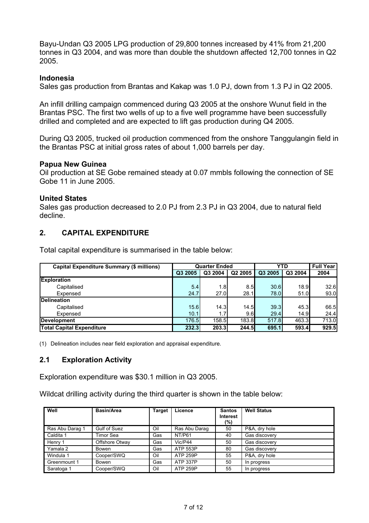Bayu-Undan Q3 2005 LPG production of 29,800 tonnes increased by 41% from 21,200 tonnes in Q3 2004, and was more than double the shutdown affected 12,700 tonnes in Q2 2005.

#### **Indonesia**

Sales gas production from Brantas and Kakap was 1.0 PJ, down from 1.3 PJ in Q2 2005.

An infill drilling campaign commenced during Q3 2005 at the onshore Wunut field in the Brantas PSC. The first two wells of up to a five well programme have been successfully drilled and completed and are expected to lift gas production during Q4 2005.

During Q3 2005, trucked oil production commenced from the onshore Tanggulangin field in the Brantas PSC at initial gross rates of about 1,000 barrels per day.

#### **Papua New Guinea**

Oil production at SE Gobe remained steady at 0.07 mmbls following the connection of SE Gobe 11 in June 2005.

#### **United States**

Sales gas production decreased to 2.0 PJ from 2.3 PJ in Q3 2004, due to natural field decline.

#### **2. CAPITAL EXPENDITURE**

Total capital expenditure is summarised in the table below:

| Capital Expenditure Summary (\$ millions) | <b>Quarter Ended</b> |                  |         | <b>YTD</b> |         | <b>Full Year</b> |
|-------------------------------------------|----------------------|------------------|---------|------------|---------|------------------|
|                                           | Q3 2005              | Q3 2004          | Q2 2005 | Q3 2005    | Q3 2004 | 2004             |
| <b>Exploration</b>                        |                      |                  |         |            |         |                  |
| Capitalised                               | 5.4                  | 1.8              | 8.5     | 30.6       | 18.9    | 32.6             |
| Expensed                                  | 24.7                 | 27.0             | 28.1    | 78.0       | 51.0    | 93.0             |
| <b>Delineation</b>                        |                      |                  |         |            |         |                  |
| Capitalised                               | 15.6                 | 14.3             | 14.5    | 39.3       | 45.3    | 66.5             |
| Expensed                                  | 10.1                 | 1.7 <sub>l</sub> | 9.6     | 29.4       | 14.9    | 24.4             |
| <b>Development</b>                        | 176.5                | 158.5            | 183.8   | 517.8      | 463.3   | 713.0            |
| <b>Total Capital Expenditure</b>          | 232.3                | 203.3            | 244.5   | 695.1      | 593.4   | 929.5            |

(1) Delineation includes near field exploration and appraisal expenditure.

#### **2.1 Exploration Activity**

Exploration expenditure was \$30.1 million in Q3 2005.

Wildcat drilling activity during the third quarter is shown in the table below:

| Well            | Basin/Area     | <b>Target</b> | Licence         | <b>Santos</b><br>Interest<br>(%) | <b>Well Status</b> |
|-----------------|----------------|---------------|-----------------|----------------------------------|--------------------|
| Ras Abu Darag 1 | Gulf of Suez   | Oil           | Ras Abu Darag   | 50                               | P&A, dry hole      |
| Caldita 1       | Timor Sea      | Gas           | NT/P61          | 40                               | Gas discovery      |
| Henry 1         | Offshore Otway | Gas           | Vic/P44         | 50                               | Gas discovery      |
| Yamala 2        | Bowen          | Gas           | ATP 553P        | 80                               | Gas discovery      |
| Windula 1       | Cooper/SWQ     | Oil           | ATP 259P        | 55                               | P&A, dry hole      |
| Greenmount 1    | Bowen          | Gas           | <b>ATP 337P</b> | 50                               | In progress        |
| Saratoga 1      | Cooper/SWQ     | Oil           | <b>ATP 259P</b> | 55                               | In progress        |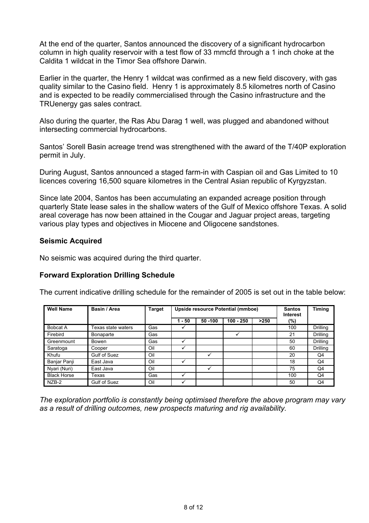At the end of the quarter, Santos announced the discovery of a significant hydrocarbon column in high quality reservoir with a test flow of 33 mmcfd through a 1 inch choke at the Caldita 1 wildcat in the Timor Sea offshore Darwin.

Earlier in the quarter, the Henry 1 wildcat was confirmed as a new field discovery, with gas quality similar to the Casino field. Henry 1 is approximately 8.5 kilometres north of Casino and is expected to be readily commercialised through the Casino infrastructure and the TRUenergy gas sales contract.

Also during the quarter, the Ras Abu Darag 1 well, was plugged and abandoned without intersecting commercial hydrocarbons.

Santos' Sorell Basin acreage trend was strengthened with the award of the T/40P exploration permit in July.

During August, Santos announced a staged farm-in with Caspian oil and Gas Limited to 10 licences covering 16,500 square kilometres in the Central Asian republic of Kyrgyzstan.

Since late 2004, Santos has been accumulating an expanded acreage position through quarterly State lease sales in the shallow waters of the Gulf of Mexico offshore Texas. A solid areal coverage has now been attained in the Cougar and Jaguar project areas, targeting various play types and objectives in Miocene and Oligocene sandstones.

## **Seismic Acquired**

No seismic was acquired during the third quarter.

## **Forward Exploration Drilling Schedule**

The current indicative drilling schedule for the remainder of 2005 is set out in the table below:

| <b>Well Name</b>   | Basin / Area              | <b>Target</b> | Upside resource Potential (mmboe) |          |             |      | <b>Santos</b><br><b>Interest</b> | Timing   |
|--------------------|---------------------------|---------------|-----------------------------------|----------|-------------|------|----------------------------------|----------|
|                    |                           |               | - 50                              | 50 - 100 | $100 - 250$ | >250 | $(\%)$                           |          |
| Bobcat A           | <b>Texas state waters</b> | Gas           | ✓                                 |          |             |      | 100                              | Drilling |
| Firebird           | <b>Bonaparte</b>          | Gas           |                                   |          |             |      | 21                               | Drilling |
| Greenmount         | Bowen                     | Gas           |                                   |          |             |      | 50                               | Drilling |
| Saratoga           | Cooper                    | Oil           |                                   |          |             |      | 60                               | Drilling |
| Khufu              | Gulf of Suez              | Oil           |                                   |          |             |      | 20                               | Q4       |
| Banjar Panji       | East Java                 | Oil           |                                   |          |             |      | 18                               | Q4       |
| Nyari (Nuri)       | East Java                 | Oil           |                                   |          |             |      | 75                               | Q4       |
| <b>Black Horse</b> | Гехаѕ                     | Gas           |                                   |          |             |      | 100                              | Q4       |
| NZB-2              | Gulf of Suez              | Oil           |                                   |          |             |      | 50                               | Q4       |

*The exploration portfolio is constantly being optimised therefore the above program may vary as a result of drilling outcomes, new prospects maturing and rig availability.*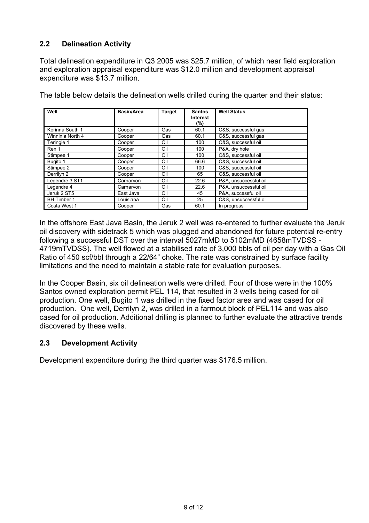# **2.2 Delineation Activity**

Total delineation expenditure in Q3 2005 was \$25.7 million, of which near field exploration and exploration appraisal expenditure was \$12.0 million and development appraisal expenditure was \$13.7 million.

| Well               | <b>Basin/Area</b> | <b>Target</b> | <b>Santos</b><br><b>Interest</b><br>(%) | <b>Well Status</b>    |
|--------------------|-------------------|---------------|-----------------------------------------|-----------------------|
| Kerinna South 1    | Cooper            | Gas           | 60.1                                    | C&S, successful gas   |
| Winninia North 4   | Cooper            | Gas           | 60.1                                    | C&S, successful gas   |
| Teringie 1         | Cooper            | Oil           | 100                                     | C&S. successful oil   |
| Ren 1              | Cooper            | Oil           | 100                                     | P&A, dry hole         |
| Stimpee 1          | Cooper            | Oil           | 100                                     | C&S, successful oil   |
| Bugito 1           | Cooper            | Oil           | 66.6                                    | C&S, successful oil   |
| Stimpee 2          | Cooper            | Oil           | 100                                     | C&S, successful oil   |
| Derrilyn 2         | Cooper            | Oil           | 65                                      | C&S, successful oil   |
| Legendre 3 ST1     | Carnarvon         | Oil           | 22.6                                    | P&A. unsuccessful oil |
| Legendre 4         | Carnarvon         | Oil           | 22.6                                    | P&A, unsuccessful oil |
| Jeruk 2 ST5        | East Java         | Oil           | 45                                      | P&A. successful oil   |
| <b>BH</b> Timber 1 | Louisiana         | Oil           | 25                                      | C&S. unsuccessful oil |
| Costa West 1       | Cooper            | Gas           | 60.1                                    | In progress           |

The table below details the delineation wells drilled during the quarter and their status:

In the offshore East Java Basin, the Jeruk 2 well was re-entered to further evaluate the Jeruk oil discovery with sidetrack 5 which was plugged and abandoned for future potential re-entry following a successful DST over the interval 5027mMD to 5102mMD (4658mTVDSS - 4719mTVDSS). The well flowed at a stabilised rate of 3,000 bbls of oil per day with a Gas Oil Ratio of 450 scf/bbl through a 22/64" choke. The rate was constrained by surface facility limitations and the need to maintain a stable rate for evaluation purposes.

In the Cooper Basin, six oil delineation wells were drilled. Four of those were in the 100% Santos owned exploration permit PEL 114, that resulted in 3 wells being cased for oil production. One well, Bugito 1 was drilled in the fixed factor area and was cased for oil production. One well, Derrilyn 2, was drilled in a farmout block of PEL114 and was also cased for oil production. Additional drilling is planned to further evaluate the attractive trends discovered by these wells.

## **2.3 Development Activity**

Development expenditure during the third quarter was \$176.5 million.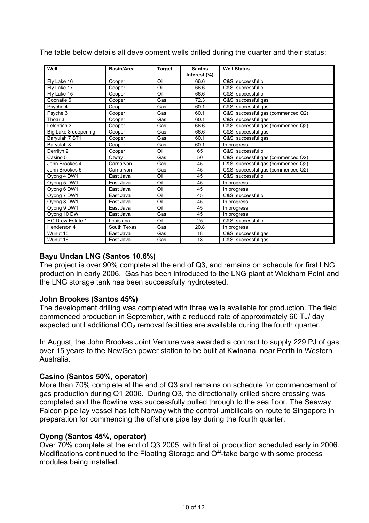| Well                    | <b>Basin/Area</b> | Target | <b>Santos</b> | <b>Well Status</b>                 |
|-------------------------|-------------------|--------|---------------|------------------------------------|
|                         |                   |        | Interest (%)  |                                    |
| Fly Lake 16             | Cooper            | Oil    | 66.6          | C&S, successful oil                |
| Fly Lake 17             | Cooper            | Oil    | 66.6          | C&S. successful oil                |
| Fly Lake 15             | Cooper            | Oil    | 66.6          | C&S, successful oil                |
| Coonatie 6              | Cooper            | Gas    | 72.3          | C&S, successful gas                |
| Psyche 4                | Cooper            | Gas    | 60.1          | C&S, successful gas                |
| Psyche 3                | Cooper            | Gas    | 60.1          | C&S, successful gas (commenced Q2) |
| Thoar <sub>3</sub>      | Cooper            | Gas    | 60.1          | C&S, successful gas                |
| Leleptian 3             | Cooper            | Gas    | 66.6          | C&S, successful gas (commenced Q2) |
| Big Lake 8 deepening    | Cooper            | Gas    | 66.6          | C&S, successful gas                |
| Baryulah 7 ST1          | Cooper            | Gas    | 60.1          | C&S, successful gas                |
| Baryulah 8              | Cooper            | Gas    | 60.1          | In progress                        |
| Derrilyn 2              | Cooper            | Oil    | 65            | C&S, successful oil                |
| Casino 5                | Otway             | Gas    | 50            | C&S, successful gas (commenced Q2) |
| John Brookes 4          | Carnarvon         | Gas    | 45            | C&S, successful gas (commenced Q2) |
| John Brookes 5          | Carnarvon         | Gas    | 45            | C&S, successful gas (commenced Q2) |
| Oyong 4 DW1             | East Java         | Oil    | 45            | C&S, successful oil                |
| Oyong 5 DW1             | East Java         | Oil    | 45            | In progress                        |
| Oyong 6 DW1             | East Java         | Oil    | 45            | In progress                        |
| Oyong 7 DW1             | East Java         | Oil    | 45            | C&S. successful oil                |
| Oyong 8 DW1             | East Java         | Oil    | 45            | In progress                        |
| Oyong 9 DW1             | East Java         | Oil    | 45            | In progress                        |
| Oyong 10 DW1            | East Java         | Gas    | 45            | In progress                        |
| <b>HC Drew Estate 1</b> | Louisiana         | Oil    | 25            | C&S, successful oil                |
| Henderson 4             | South Texas       | Gas    | 20.8          | In progress                        |
| Wunut 15                | East Java         | Gas    | 18            | C&S, successful gas                |
| Wunut 16                | East Java         | Gas    | 18            | C&S, successful gas                |

The table below details all development wells drilled during the quarter and their status:

## **Bayu Undan LNG (Santos 10.6%)**

The project is over 90% complete at the end of Q3, and remains on schedule for first LNG production in early 2006. Gas has been introduced to the LNG plant at Wickham Point and the LNG storage tank has been successfully hydrotested.

## **John Brookes (Santos 45%)**

The development drilling was completed with three wells available for production. The field commenced production in September, with a reduced rate of approximately 60 TJ/ day expected until additional  $CO<sub>2</sub>$  removal facilities are available during the fourth quarter.

In August, the John Brookes Joint Venture was awarded a contract to supply 229 PJ of gas over 15 years to the NewGen power station to be built at Kwinana, near Perth in Western Australia.

## **Casino (Santos 50%, operator)**

More than 70% complete at the end of Q3 and remains on schedule for commencement of gas production during Q1 2006. During Q3, the directionally drilled shore crossing was completed and the flowline was successfully pulled through to the sea floor. The Seaway Falcon pipe lay vessel has left Norway with the control umbilicals on route to Singapore in preparation for commencing the offshore pipe lay during the fourth quarter.

## **Oyong (Santos 45%, operator)**

Over 70% complete at the end of Q3 2005, with first oil production scheduled early in 2006. Modifications continued to the Floating Storage and Off-take barge with some process modules being installed.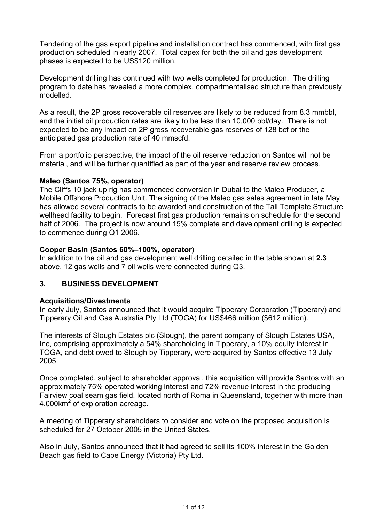Tendering of the gas export pipeline and installation contract has commenced, with first gas production scheduled in early 2007. Total capex for both the oil and gas development phases is expected to be US\$120 million.

Development drilling has continued with two wells completed for production. The drilling program to date has revealed a more complex, compartmentalised structure than previously modelled.

As a result, the 2P gross recoverable oil reserves are likely to be reduced from 8.3 mmbbl, and the initial oil production rates are likely to be less than 10,000 bbl/day. There is not expected to be any impact on 2P gross recoverable gas reserves of 128 bcf or the anticipated gas production rate of 40 mmscfd.

From a portfolio perspective, the impact of the oil reserve reduction on Santos will not be material, and will be further quantified as part of the year end reserve review process.

## **Maleo (Santos 75%, operator)**

The Cliffs 10 jack up rig has commenced conversion in Dubai to the Maleo Producer, a Mobile Offshore Production Unit. The signing of the Maleo gas sales agreement in late May has allowed several contracts to be awarded and construction of the Tall Template Structure wellhead facility to begin. Forecast first gas production remains on schedule for the second half of 2006. The project is now around 15% complete and development drilling is expected to commence during Q1 2006.

## **Cooper Basin (Santos 60%–100%, operator)**

In addition to the oil and gas development well drilling detailed in the table shown at **2.3** above, 12 gas wells and 7 oil wells were connected during Q3.

## **3. BUSINESS DEVELOPMENT**

#### **Acquisitions/Divestments**

In early July, Santos announced that it would acquire Tipperary Corporation (Tipperary) and Tipperary Oil and Gas Australia Pty Ltd (TOGA) for US\$466 million (\$612 million).

The interests of Slough Estates plc (Slough), the parent company of Slough Estates USA, Inc, comprising approximately a 54% shareholding in Tipperary, a 10% equity interest in TOGA, and debt owed to Slough by Tipperary, were acquired by Santos effective 13 July 2005.

Once completed, subject to shareholder approval, this acquisition will provide Santos with an approximately 75% operated working interest and 72% revenue interest in the producing Fairview coal seam gas field, located north of Roma in Queensland, together with more than 4,000km<sup>2</sup> of exploration acreage.

A meeting of Tipperary shareholders to consider and vote on the proposed acquisition is scheduled for 27 October 2005 in the United States.

Also in July, Santos announced that it had agreed to sell its 100% interest in the Golden Beach gas field to Cape Energy (Victoria) Pty Ltd.